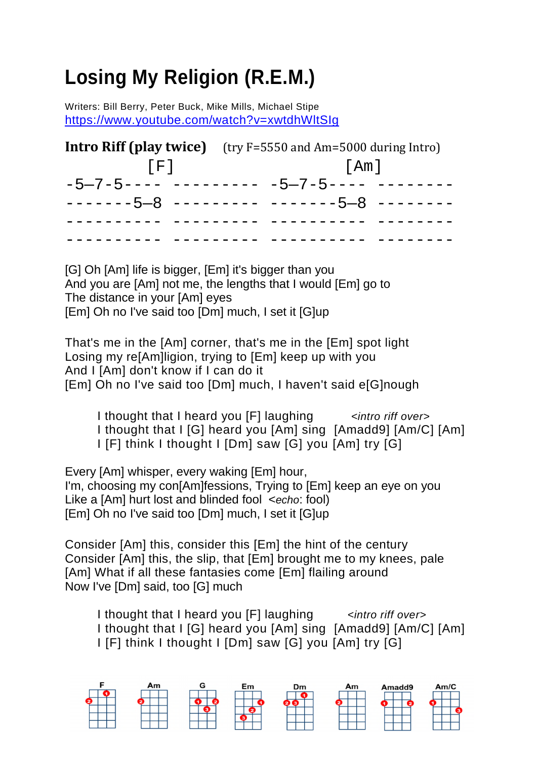## **Losing My Religion (R.E.M.)**

Writers: Bill Berry, Peter Buck, Mike Mills, Michael Stipe <https://www.youtube.com/watch?v=xwtdhWltSIg>

|      | <b>Intro Riff (play twice)</b> (try F=5550 and Am=5000 during Intro) |  |  |  |
|------|----------------------------------------------------------------------|--|--|--|
| [FI] | [Am]                                                                 |  |  |  |
|      |                                                                      |  |  |  |
|      |                                                                      |  |  |  |
|      |                                                                      |  |  |  |
|      |                                                                      |  |  |  |

[G] Oh [Am] life is bigger, [Em] it's bigger than you And you are [Am] not me, the lengths that I would [Em] go to The distance in your [Am] eyes [Em] Oh no I've said too [Dm] much, I set it [G]up

That's me in the [Am] corner, that's me in the [Em] spot light Losing my re[Am]ligion, trying to [Em] keep up with you And I [Am] don't know if I can do it [Em] Oh no I've said too [Dm] much, I haven't said e[G]nough

I thought that I heard you [F] laughing *intro riff over* I thought that I [G] heard you [Am] sing [Amadd9] [Am/C] [Am] I [F] think I thought I [Dm] saw [G] you [Am] try [G]

Every [Am] whisper, every waking [Em] hour, I'm, choosing my con[Am]fessions, Trying to [Em] keep an eye on you Like a [Am] hurt lost and blinded fool <*echo*: fool) [Em] Oh no I've said too [Dm] much, I set it [G]up

Consider [Am] this, consider this [Em] the hint of the century Consider [Am] this, the slip, that [Em] brought me to my knees, pale [Am] What if all these fantasies come [Em] flailing around Now I've [Dm] said, too [G] much

I thought that I heard you [F] laughing *intro riff over* I thought that I [G] heard you [Am] sing [Amadd9] [Am/C] [Am] I [F] think I thought I [Dm] saw [G] you [Am] try [G]